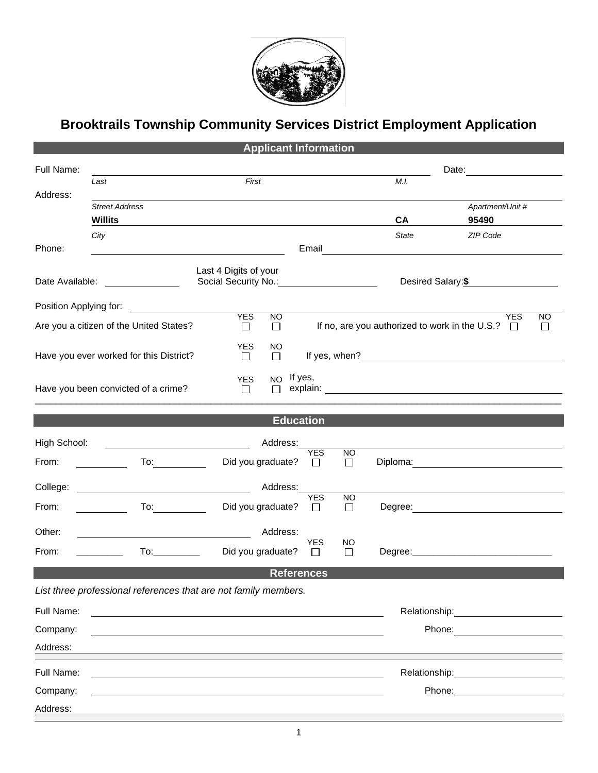

## **Brooktrails Township Community Services District Employment Application**

|                                         |                                                                                                                                                                                                                                | <b>Applicant Information</b>                                                         |                                                                                           |                                                                                                                      |                                                  |  |  |
|-----------------------------------------|--------------------------------------------------------------------------------------------------------------------------------------------------------------------------------------------------------------------------------|--------------------------------------------------------------------------------------|-------------------------------------------------------------------------------------------|----------------------------------------------------------------------------------------------------------------------|--------------------------------------------------|--|--|
| Full Name:                              |                                                                                                                                                                                                                                |                                                                                      |                                                                                           |                                                                                                                      |                                                  |  |  |
|                                         | First<br>Last                                                                                                                                                                                                                  |                                                                                      |                                                                                           | M.I.                                                                                                                 |                                                  |  |  |
| Address:                                | <b>Street Address</b>                                                                                                                                                                                                          |                                                                                      |                                                                                           |                                                                                                                      | Apartment/Unit #                                 |  |  |
|                                         | <b>Willits</b>                                                                                                                                                                                                                 |                                                                                      |                                                                                           | <b>CA</b>                                                                                                            | 95490                                            |  |  |
|                                         | City                                                                                                                                                                                                                           |                                                                                      |                                                                                           | <b>State</b>                                                                                                         | ZIP Code                                         |  |  |
| Phone:                                  | <u> 1989 - Johann John Stone, markin sanadi bashkar (</u>                                                                                                                                                                      |                                                                                      | Email                                                                                     | <u> 1980 - Jan Samuel Barbara, martin da shekara 1980 - An tsa a tsa a tsa a tsa a tsa a tsa a tsa a tsa a tsa a</u> |                                                  |  |  |
| Date Available:                         |                                                                                                                                                                                                                                | Last 4 Digits of your<br>Social Security No.: <u>Cambridge Contains and Security</u> |                                                                                           | Desired Salary: \$                                                                                                   |                                                  |  |  |
|                                         | Position Applying for: <b>Example 20</b>                                                                                                                                                                                       |                                                                                      |                                                                                           |                                                                                                                      |                                                  |  |  |
|                                         | Are you a citizen of the United States?                                                                                                                                                                                        | <b>YES</b><br>$\overline{NO}$<br>$\Box$<br>$\Box$                                    | <b>YES</b><br><b>NO</b><br>If no, are you authorized to work in the U.S.?<br>$\Box$<br>ΙI |                                                                                                                      |                                                  |  |  |
| Have you ever worked for this District? |                                                                                                                                                                                                                                | <b>YES</b><br>NO<br>$\Box$<br>$\Box$                                                 |                                                                                           |                                                                                                                      |                                                  |  |  |
|                                         | Have you been convicted of a crime?                                                                                                                                                                                            | NO If yes,<br><b>YES</b><br>$\Box$<br>П                                              |                                                                                           |                                                                                                                      |                                                  |  |  |
|                                         |                                                                                                                                                                                                                                |                                                                                      |                                                                                           |                                                                                                                      |                                                  |  |  |
|                                         |                                                                                                                                                                                                                                | <b>Education</b>                                                                     |                                                                                           |                                                                                                                      |                                                  |  |  |
| High School:                            | <u> 1989 - Andrea Barbara, poeta espa</u>                                                                                                                                                                                      | Address:                                                                             |                                                                                           |                                                                                                                      |                                                  |  |  |
| From:                                   | $\overline{10}$ :                                                                                                                                                                                                              | Did you graduate?                                                                    | <b>YES</b><br><b>NO</b><br>$\Box$<br>□                                                    |                                                                                                                      | Diploma: <u>______________________</u>           |  |  |
| College:                                |                                                                                                                                                                                                                                | Address:                                                                             | <b>YES</b>                                                                                |                                                                                                                      |                                                  |  |  |
| From:                                   | To: the contract of the contract of the contract of the contract of the contract of the contract of the contract of the contract of the contract of the contract of the contract of the contract of the contract of the contra | Did you graduate?                                                                    | <b>NO</b><br>$\Box$<br>$\Box$                                                             |                                                                                                                      | Degree: <u>_________________________________</u> |  |  |
| Other:                                  |                                                                                                                                                                                                                                | Address:                                                                             |                                                                                           |                                                                                                                      |                                                  |  |  |
| From:                                   |                                                                                                                                                                                                                                | Did you graduate?                                                                    | <b>YES</b><br>NO<br>$\Box$<br>$\perp$                                                     |                                                                                                                      |                                                  |  |  |
|                                         |                                                                                                                                                                                                                                | <b>References</b>                                                                    |                                                                                           |                                                                                                                      |                                                  |  |  |
|                                         | List three professional references that are not family members.                                                                                                                                                                |                                                                                      |                                                                                           |                                                                                                                      |                                                  |  |  |
| Full Name:                              |                                                                                                                                                                                                                                |                                                                                      |                                                                                           | Relationship:                                                                                                        |                                                  |  |  |
| Company:                                |                                                                                                                                                                                                                                |                                                                                      |                                                                                           | Phone:                                                                                                               |                                                  |  |  |
| Address:                                |                                                                                                                                                                                                                                |                                                                                      |                                                                                           |                                                                                                                      |                                                  |  |  |
| Full Name:                              |                                                                                                                                                                                                                                |                                                                                      |                                                                                           | Relationship:                                                                                                        |                                                  |  |  |
| Company:                                |                                                                                                                                                                                                                                |                                                                                      |                                                                                           |                                                                                                                      | Phone:                                           |  |  |
| Address:                                |                                                                                                                                                                                                                                |                                                                                      |                                                                                           |                                                                                                                      |                                                  |  |  |